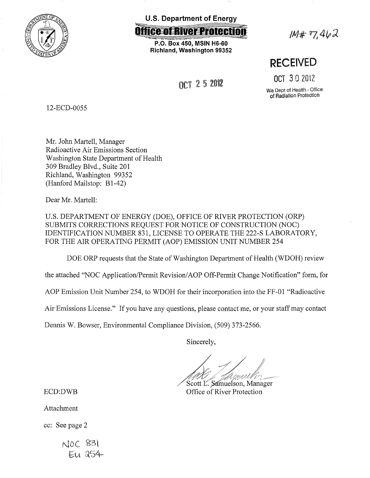

**U.S. Department of Energy** 

**ffice of River Protection** 

**P.O. Box 450, MSIN HG-60 Richland, Washington 99352** 

OCT 2 5 2012

 $1M# 7,462$ 

**RECEIVED** 

OCT 3 0 2012

Wa Dept of Health • Office of Radiation Protection

12-ECD-0055

Mr. John Martell, Manager Radioactive Air Emissions Section Washington State Department of Health 309 Bradley Blvd., Suite 201 Richland, Washington 99352 (Hanford Mailstop: B1-42)

Dear Mr. Martell:

U.S. DEPARTMENT OF ENERGY (DOE), OFFICE OF RIVER PROTECTION (ORP) SUBMITS CORRECTIONS REQUEST FOR NOTICE OF CONSTRUCTION (NOC) IDENTIFICATION NUMBER 831, LICENSE TO OPERATE THE 222-S LABORATORY, FOR THE AIR OPERATING PERMIT (AOP) EMISSION UNIT NUMBER 254

DOE ORP requests that the State of Washington Department of Health (WDOH) review

the attached "NOC Application/Permit Revision/AOP Off-Permit Change Notification" form, for

AOP Emission Unit Number 254, to WDOH for their incorporation into the FF-01 "Radioactive

Air Emissions License." If you have any questions, please contact me, or your staff may contact

Dennis W. Bowser, Environmental Compliance Division, (509) 373-2566.

Sincerely,

Scott L. Samuelson, Manager Office of River Protection

ECD:DWB

Attachment

cc: See page 2

 $NOC$   $83$  $E1A$   $254$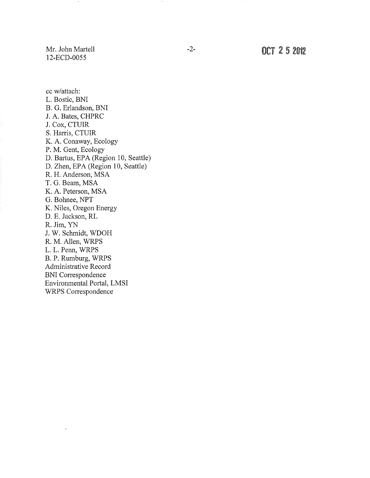Mr. John Martell 12-ECD-0055

-2- OCT 2 5 <sup>2012</sup>

cc w/attach: L. Bostic, BNI B. G. Erlandson, BNI J. A. Bates, CHPRC J. Cox, CTUIR S. Harris, CTUIR K. A. Conaway, Ecology P. M. Gent, Ecology D. Bartus, EPA (Region 10, Seattle) D. Zhen, EPA (Region 10, Seattle) R. H. Anderson, MSA T. G. Beam, MSA K. A. Peterson, MSA G. Bohnee, NPT K. Niles, Oregon Energy D. E. Jackson, RL R. Jim, YN J. W. Schmidt, WDOH R. M. Allen, WRPS L. L. Penn, WRPS B. P. Rumburg, WRPS Administrative Record BNI Correspondence Environmental Portal, LMSI WRPS Correspondence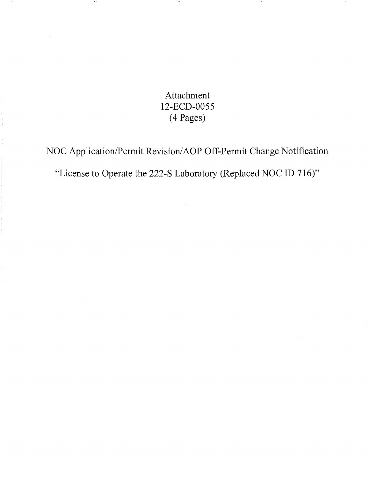Attachment 12-ECD-0055 (4 Pages)

 $\sim$ 

 $\sim$   $\star$ 

 $\sim$ 

NOC Application/Permit Revision/AOP Off-Permit Change Notification

"License to Operate the 222-S Laboratory (Replaced NOC ID 716)"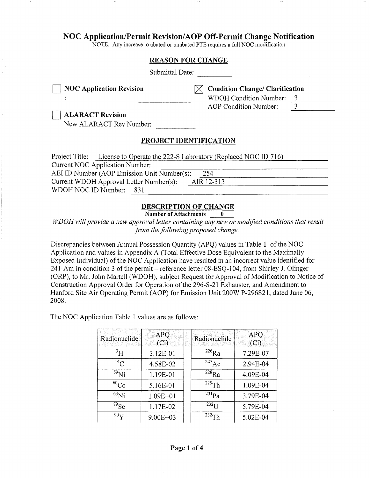# **NOC Application/Permit Revision/AOP Off-Permit Change Notification**

NOTE: Any increase to abated or unabated PTE requires a full NOC modification

|                                                                                                                 | <b>REASON FOR CHANGE</b>                                                                                                       |
|-----------------------------------------------------------------------------------------------------------------|--------------------------------------------------------------------------------------------------------------------------------|
| Submittal Date:                                                                                                 |                                                                                                                                |
| <b>NOC Application Revision</b><br><b>ALARACT Revision</b><br>New ALARACT Rev Number:                           | <b>Condition Change/ Clarification</b><br><b>WDOH Condition Number:</b><br>3<br>$\overline{3}$<br><b>AOP</b> Condition Number: |
|                                                                                                                 | PROJECT IDENTIFICATION                                                                                                         |
| Project Title: License to Operate the 222-S Laboratory (Replaced NOC ID 716)<br>Current NOC Application Number: |                                                                                                                                |
| AEI ID Number (AOP Emission Unit Number(s):                                                                     | 254                                                                                                                            |
| Current WDOH Approval Letter Number(s):                                                                         | AIR 12-313                                                                                                                     |
| WDOH NOC ID Number:<br>831                                                                                      |                                                                                                                                |

## **DESCRIPTION OF CHANGE**

**Number of Attachments 0** 

*WDOH will provide a new approval letter containing any new or modified conditions that result from the following proposed change.* 

Discrepancies between Annual Possession Quantity (APQ) values in Table **1** of the NOC Application and values in Appendix A (Total Effective Dose Equivalent to the Maximally Exposed Individual) of the NOC Application have resulted in an incorrect value identified for 241-Am in condition 3 of the permit – reference letter 08-ESQ-104, from Shirley J. Olinger (ORP), to Mr. John Martell (WDOH), subject Request for Approval of Modification to Notice of Construction Approval Order for Operation of the 296-S-21 Exhauster, and Amendment to Hanford Site Air Operating Permit (AOP) for Emission Unit 200W P-296S21, dated June 06, 2008.

The NOC Application Table 1 values are as follows:

 $\geq 1$ 

| Radionuclide    | <b>APQ</b><br>(Ci) | Radionuclide       | <b>APQ</b><br>(Ci) |
|-----------------|--------------------|--------------------|--------------------|
| $\rm{^{3}H}$    | 3.12E-01           | $226$ Ra           | 7.29E-07           |
| $^{14}$ C       | 4.58E-02           | $^{227}$ Ac        | 2.94E-04           |
| $59$ Ni         | 1.19E-01           | $^{228}$ Ra        | 4.09E-04           |
| $^{60}Co$       | 5.16E-01           | $229$ Th           | 1.09E-04           |
| $^{63}$ Ni      | 1.09E+01           | $^{231}Pa$         | 3.79E-04           |
| $^{79}$ Se      | 1.17E-02           | $232$ <sup>T</sup> | 5.79E-04           |
| 90 <sub>V</sub> | $9.00E + 03$       | $232 \text{Th}$    | 5.02E-04           |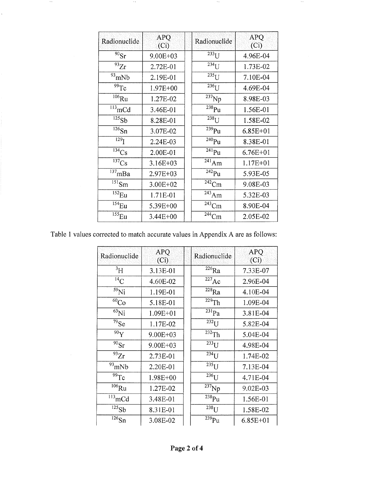| Radionuclide                   | <b>APQ</b><br>(Ci) | Radionuclide           | <b>APQ</b><br>(Ci) |
|--------------------------------|--------------------|------------------------|--------------------|
| $90$ Sr                        | 9.00E+03           | $233$ UJ               | 4.96E-04           |
| $\overline{93}Zr$              | 2.72E-01           | $234$ []               | 1.73E-02           |
| $93$ <sub>mNb</sub>            | 2.19E-01           | $\overline{^{235}}$ U  | 7.10E-04           |
| 99Tc                           | $1.97E + 00$       | $236$ U                | 4.69E-04           |
| $106$ Ru                       | 1.27E-02           | $\overline{^{237}}$ Np | 8.98E-03           |
| $\overline{^{113}}$ mCd        | 3.46E-01           | $\overline{^{238}}$ Pu | 1.56E-01           |
| 125Sb                          | 8.28E-01           | $\overline{238}$ U     | 1.58E-02           |
| $\overline{^{126}}\mathrm{Sn}$ | 3.07E-02           | $239$ Pu               | $6.85E + 01$       |
| $\overline{129}$ <sup>T</sup>  | 2.24E-03           | $240$ Pu               | 8.38E-01           |
| $134$ Cs                       | 2.00E-01           | $^{241}$ Pu            | $6.76E + 01$       |
| $^{137}Cs$                     | $3.16E + 03$       | $\overline{^{241}}Am$  | $1.17E + 01$       |
| $\overline{137}$ mBa           | 2.97E+03           | $242p_u$               | 5.93E-05           |
| $\overline{^{151}}$ Sm         | 3.00E+02           | $242$ Cm               | 9.08E-03           |
| $152$ <sub>Eu</sub>            | 1.71E-01           | $\overline{^{243}}Am$  | 5.32E-03           |
| $154$ <sub>Eu</sub>            | 5.39E+00           | $\overline{^{243}}$ Cm | 8.90E-04           |
| 155 <sub>Eu</sub>              | 3.44E+00           | $244$ Cm               | 2.05E-02           |

 $\sim$  2.1  $\,$ 

 $\sim$ 

Table 1 values corrected to match accurate values in Appendix A are as follows:

 $\sim$  5.8  $^{\circ}$ 

 $\sim$   $\star$ 

 $\sim$   $\sim$ 

 $\hat{\mathcal{E}}$ 

| Radionuclide           | <b>APQ</b><br>(Ci) | Radionuclide                 | <b>APQ</b><br>(Ci) |
|------------------------|--------------------|------------------------------|--------------------|
| ${}^{3}H$              | 3.13E-01           | $\overline{^{226}}Ra$        | 7.33E-07           |
| $^{14}$ C              | 4.60E-02           | $\overline{^{227}}\text{Ac}$ | 2.96E-04           |
| $59$ Ni                | 1.19E-01           | $\overline{^{228}}Ra$        | 4.10E-04           |
| 60 <sub>Co</sub>       | 5.18E-01           | $229$ Th                     | 1.09E-04           |
| $^{63}$ Ni             | $1.09E + 01$       | $\overline{^{231}}\text{Pa}$ | 3.81E-04           |
| $\overline{79}$ Se     | 1.17E-02           | $\overline{^{232}}$ U        | 5.82E-04           |
| 90 <sub>Y</sub>        | 9.00E+03           | $232$ Th                     | 5.04E-04           |
| $\overline{90}$ Sr     | 9.00E+03           | $233$ U                      | 4.98E-04           |
| $\overline{93}Zr$      | 2.73E-01           | $\overline{234}$ U           | 1.74E-02           |
| $93$ <sub>mNb</sub>    | 2.20E-01           | $\overline{235}$ U           | 7.13E-04           |
| 99Tc                   | 1.98E+00           | $236$ U                      | 4.71E-04           |
| $106$ Ru               | 1.27E-02           | $237$ Np                     | 9.02E-03           |
| $113$ <sub>mCd</sub>   | 3.48E-01           | $238$ Pu                     | 1.56E-01           |
| $\overline{^{125}}Sb$  | 8.31E-01           | $\overline{^{238}}$ I J      | 1.58E-02           |
| $\overline{^{126}}$ Sn | 3.08E-02           | $\overline{^{239}}\text{Pu}$ | $6.85E + 01$       |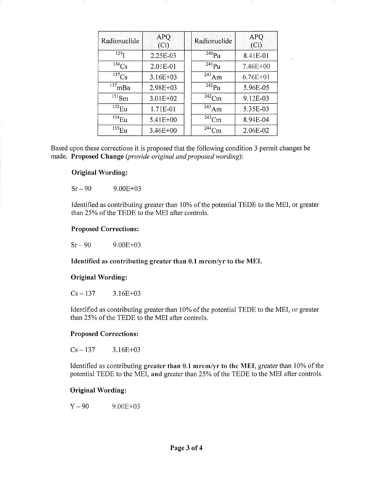| Radionuclide           | <b>APQ</b><br>(Ci) | Radionuclide           | <b>APQ</b><br>(Ci) |
|------------------------|--------------------|------------------------|--------------------|
| 129 <sub>T</sub>       | 2.25E-03           | $240$ Pu               | 8.41E-01           |
| $\overline{^{134}}Cs$  | 2.01E-01           | $^{241}$ Pu            | 7.46E+00           |
| $\overline{^{137}}$ Cs | 3.16E+03           | $\overline{2}^{41}$ Am | $6.76E + 01$       |
| $137$ mBa              | 2.98E+03           | $^{242}Pu$             | 5.96E-05           |
| $^{151}$ Sm            | 3.01E+02           | $242$ Cm               | 9.12E-03           |
| $^{152}$ Eu            | 1.71E-01           | $243$ Am               | 5.35E-03           |
| $^{154}$ Eu            | 5.41E+00           | $243$ Cm               | 8.94E-04           |
| $^{155}$ Eu            | $3.46E + 00$       | $244$ Cm               | 2.06E-02           |

Based upon these corrections it is proposed that the following condition 3 permit changes be made. **Proposed Change** *(provide original and proposed wording):* 

### **Original Wording:**

 $Sr - 90$  9.00E+03

Identified as contributing greater than 10% of the potential TEDE to the MEI, or greater than 25% of the TEDE to the MEI after controls.

### **Proposed Corrections:**

 $Sr-90$  9.00E+03

**Identified as contributing greater than 0.1 mrem/yr to the MEI.** 

#### **Original Wording:**

 $Cs - 137$  3.16E+03

Identified as contributing greater than 10% of the potential TEDE to the MEI, or greater than 25% of the TEDE to the MEI after controls.

#### **Proposed Corrections:**

 $Cs - 137$  3.16E+03

Identified as contributing **greater than 0.1 mrem/yr to the MEI,** greater than 10% of the potential TEDE to the MEI, **and** greater than 25% of the TEDE to the MEI after controls.

#### **Original Wording:**

 $Y - 90$  9.00E+03